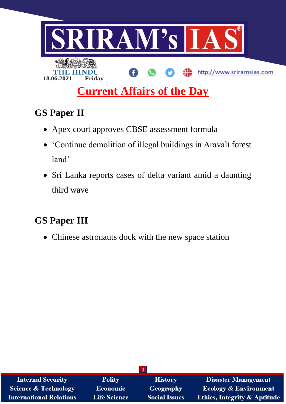

# **GS Paper II**

- Apex court approves CBSE assessment formula
- 'Continue demolition of illegal buildings in Aravali forest land'
- Sri Lanka reports cases of delta variant amid a daunting third wave

## **GS Paper III**

Chinese astronauts dock with the new space station

| <b>Internal Security</b>        | <b>Polity</b>       | <b>History</b>       | <b>Disaster Management</b>              |  |  |  |
|---------------------------------|---------------------|----------------------|-----------------------------------------|--|--|--|
| <b>Science &amp; Technology</b> | <b>Economic</b>     | <b>Geography</b>     | <b>Ecology &amp; Environment</b>        |  |  |  |
| <b>International Relations</b>  | <b>Life Science</b> | <b>Social Issues</b> | <b>Ethics, Integrity &amp; Aptitude</b> |  |  |  |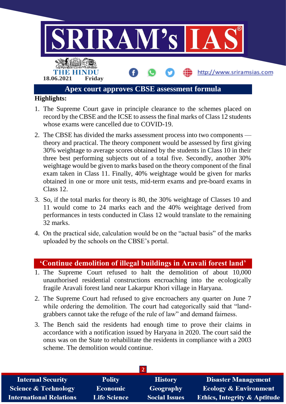

- 1. The Supreme Court gave in principle clearance to the schemes placed on record by the CBSE and the ICSE to assess the final marks of Class 12 students whose exams were cancelled due to COVID-19.
- 2. The CBSE has divided the marks assessment process into two components theory and practical. The theory component would be assessed by first giving 30% weightage to average scores obtained by the students in Class 10 in their three best performing subjects out of a total five. Secondly, another 30% weightage would be given to marks based on the theory component of the final exam taken in Class 11. Finally, 40% weightage would be given for marks obtained in one or more unit tests, mid-term exams and pre-board exams in Class 12.
- 3. So, if the total marks for theory is 80, the 30% weightage of Classes 10 and 11 would come to 24 marks each and the 40% weightage derived from performances in tests conducted in Class 12 would translate to the remaining 32 marks.
- 4. On the practical side, calculation would be on the "actual basis" of the marks uploaded by the schools on the CBSE's portal.

### **'Continue demolition of illegal buildings in Aravali forest land'**

- 1. The Supreme Court refused to halt the demolition of about 10,000 unauthorised residential constructions encroaching into the ecologically fragile Aravali forest land near Lakarpur Khori village in Haryana.
- 2. The Supreme Court had refused to give encroachers any quarter on June 7 while ordering the demolition. The court had categorically said that "landgrabbers cannot take the refuge of the rule of law" and demand fairness.
- 3. The Bench said the residents had enough time to prove their claims in accordance with a notification issued by Haryana in 2020. The court said the onus was on the State to rehabilitate the residents in compliance with a 2003 scheme. The demolition would continue.

| <b>Internal Security</b>        | <b>Polity</b>       | <b>History</b>       | <b>Disaster Management</b>              |
|---------------------------------|---------------------|----------------------|-----------------------------------------|
| <b>Science &amp; Technology</b> | <b>Economic</b>     | Geography            | <b>Ecology &amp; Environment</b>        |
| <b>International Relations</b>  | <b>Life Science</b> | <b>Social Issues</b> | <b>Ethics, Integrity &amp; Aptitude</b> |